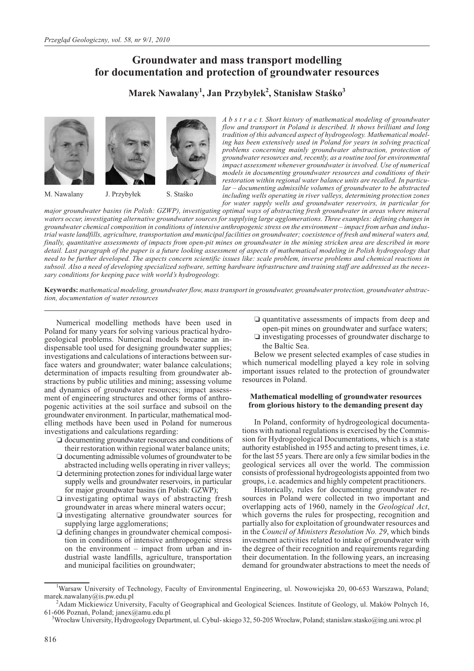# **Groundwater and mass transport modelling for documentation and protection of groundwater resources**

 $\mathbf{M}$ arek Nawalany<sup>1</sup>, Jan Przybyłek<sup>2</sup>, Stanisław Staśko $^3$ 





S. Staśko

M. Nawalany J. Przybyłek

*A b s t r a c t. Short history of mathematical modeling of groundwater flow and transport in Poland is described. It shows brilliant and long tradition of this advanced aspect of hydrogeology. Mathematical modeling has been extensively used in Poland for years in solving practical problems concerning mainly groundwater abstraction, protection of groundwater resources and, recently, as a routine tool for environmental impact assessment whenever groundwater is involved. Use of numerical models in documenting groundwater resources and conditions of their restoration within regional water balance units are recalled. In particular – documenting admissible volumes of groundwater to be abstracted including wells operating in river valleys, determining protection zones for water supply wells and groundwater reservoirs, in particular for*

*major groundwater basins (in Polish: GZWP), investigating optimal ways of abstracting fresh groundwater in areas where mineral waters occur, investigating alternative groundwater sources for supplying large agglomerations. Three examples: defining changes in groundwater chemical composition in conditions of intensive anthropogenic stress on the environment – impact from urban and industrial waste landfills, agriculture, transportation and municipal facilities on groundwater; coexistence of fresh and mineral waters and, finally, quantitative assessments of impacts from open-pit mines on groundwater in the mining stricken area are described in more detail. Last paragraph of the paper is a future looking assessment of aspects of mathematical modeling in Polish hydrogeology that need to be further developed. The aspects concern scientific issues like: scale problem, inverse problems and chemical reactions in subsoil. Also a need of developing specialized software, setting hardware infrastructure and training staff are addressed as the necessary conditions for keeping pace with world's hydrogeology.*

**Keywords:** *mathematical modeling, groundwater flow, mass transport in groundwater, groundwater protection, groundwater abstraction, documentation of water resources*

Numerical modelling methods have been used in Poland for many years for solving various practical hydrogeological problems. Numerical models became an indispensable tool used for designing groundwater supplies; investigations and calculations of interactions between surface waters and groundwater; water balance calculations; determination of impacts resulting from groundwater abstractions by public utilities and mining; assessing volume and dynamics of groundwater resources; impact assessment of engineering structures and other forms of anthropogenic activities at the soil surface and subsoil on the groundwater environment. In particular, mathematical modelling methods have been used in Poland for numerous investigations and calculations regarding:

- $\Box$  documenting groundwater resources and conditions of their restoration within regional water balance units;
- documenting admissible volumes of groundwater to be abstracted including wells operating in river valleys;
- determining protection zones for individual large water supply wells and groundwater reservoirs, in particular for major groundwater basins (in Polish: GZWP);
- investigating optimal ways of abstracting fresh groundwater in areas where mineral waters occur;
- investigating alternative groundwater sources for supplying large agglomerations;
- $\Box$  defining changes in groundwater chemical composition in conditions of intensive anthropogenic stress on the environment – impact from urban and industrial waste landfills, agriculture, transportation and municipal facilities on groundwater;
- quantitative assessments of impacts from deep and
- open-pit mines on groundwater and surface waters; - investigating processes of groundwater discharge to the Baltic Sea.

Below we present selected examples of case studies in which numerical modelling played a key role in solving important issues related to the protection of groundwater resources in Poland.

### **Mathematical modelling of groundwater resources from glorious history to the demanding present day**

In Poland, conformity of hydrogeological documentations with national regulations is exercised by the Commission for Hydrogeological Documentations, which is a state authority established in 1955 and acting to present times, i.e. for the last 55 years. There are only a few similar bodies in the geological services all over the world. The commission consists of professional hydrogeologists appointed from two groups, i.e. academics and highly competent practitioners.

Historically, rules for documenting groundwater resources in Poland were collected in two important and overlapping acts of 1960, namely in the *Geological Act*, which governs the rules for prospecting, recognition and partially also for exploitation of groundwater resources and in the *Council of Ministers Resolution No. 29*, which binds investment activities related to intake of groundwater with the degree of their recognition and requirements regarding their documentation. In the following years, an increasing demand for groundwater abstractions to meet the needs of

<sup>&</sup>lt;sup>1</sup>Warsaw University of Technology, Faculty of Environmental Engineering, ul. Nowowiejska 20, 00-653 Warszawa, Poland; marek.nawalany@is.pw.edu.pl <sup>2</sup>

Adam Mickiewicz University, Faculty of Geographical and Geological Sciences. Institute of Geology, ul. Maków Polnych 16, 61-606 Poznañ, Poland; janex@amu.edu.pl <sup>3</sup>

 $^3$ Wrocław University, Hydrogeology Department, ul. Cybul- skiego 32, 50-205 Wrocław, Poland; stanislaw.stasko@ing.uni.wroc.pl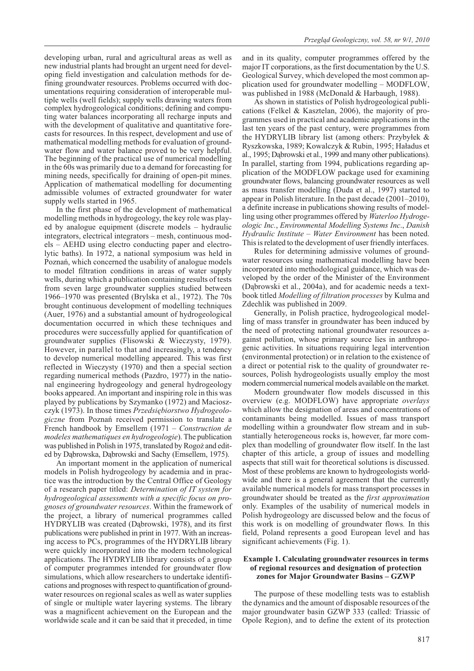developing urban, rural and agricultural areas as well as new industrial plants had brought an urgent need for developing field investigation and calculation methods for defining groundwater resources. Problems occurred with documentations requiring consideration of interoperable multiple wells (well fields); supply wells drawing waters from complex hydrogeological conditions; defining and computing water balances incorporating all recharge inputs and with the development of qualitative and quantitative forecasts for resources. In this respect, development and use of mathematical modelling methods for evaluation of groundwater flow and water balance proved to be very helpful. The beginning of the practical use of numerical modelling in the 60s was primarily due to a demand for forecasting for mining needs, specifically for draining of open-pit mines. Application of mathematical modelling for documenting admissible volumes of extracted groundwater for water supply wells started in 1965.

In the first phase of the development of mathematical modelling methods in hydrogeology, the key role was played by analogue equipment (discrete models – hydraulic integrators, electrical integrators – mesh, continuous models – AEHD using electro conducting paper and electrolytic baths). In 1972, a national symposium was held in Poznañ, which concerned the usability of analogue models to model filtration conditions in areas of water supply wells, during which a publication containing results of tests from seven large groundwater supplies studied between 1966–1970 was presented (Brylska et al., 1972). The 70s brought continuous development of modelling techniques (Auer, 1976) and a substantial amount of hydrogeological documentation occurred in which these techniques and procedures were successfully applied for quantification of groundwater supplies (Flisowski & Wieczysty, 1979). However, in parallel to that and increasingly, a tendency to develop numerical modelling appeared. This was first reflected in Wieczysty (1970) and then a special section regarding numerical methods (Pazdro, 1977) in the national engineering hydrogeology and general hydrogeology books appeared. An important and inspiring role in this was played by publications by Szymanko (1972) and Macioszczyk (1973). In those times *Przedsiêbiorstwo Hydrogeologiczne* from Poznañ received permission to translate a French handbook by Emsellem (1971 – *Construction de modeles mathematiques en hydrogeologie*). The publication was published in Polish in 1975, translated by Rogoż and edited by Dąbrowska, Dąbrowski and Sachy (Emsellem, 1975).

An important moment in the application of numerical models in Polish hydrogeology by academia and in practice was the introduction by the Central Office of Geology of a research paper titled: *Determination of IT system for hydrogeological assessments with a specific focus on prognoses of groundwater resources*. Within the framework of the project, a library of numerical programmes called HYDRYLIB was created (Dąbrowski, 1978), and its first publications were published in print in 1977. With an increasing access to PCs, programmes of the HYDRYLIB library were quickly incorporated into the modern technological applications. The HYDRYLIB library consists of a group of computer programmes intended for groundwater flow simulations, which allow researchers to undertake identifications and prognoses with respect to quantification of groundwater resources on regional scales as well as water supplies of single or multiple water layering systems. The library was a magnificent achievement on the European and the worldwide scale and it can be said that it preceded, in time

and in its quality, computer programmes offered by the major IT corporations, as the first documentation by the U.S. Geological Survey, which developed the most common application used for groundwater modelling – MODFLOW, was published in 1988 (McDonald & Harbaugh, 1988).

As shown in statistics of Polish hydrogeological publications (Felkel & Kasztelan, 2006), the majority of programmes used in practical and academic applications in the last ten years of the past century, were programmes from the HYDRYLIB library list (among others: Przybyłek  $\&$ Ryszkowska, 1989; Kowalczyk & Rubin, 1995; Haładus et al., 1995; Dabrowski et al., 1999 and many other publications). In parallel, starting from 1994, publications regarding application of the MODFLOW package used for examining groundwater flows, balancing groundwater resources as well as mass transfer modelling (Duda et al., 1997) started to appear in Polish literature. In the past decade (2001–2010), a definite increase in publications showing results of modelling using other programmes offered by *Waterloo Hydrogeologic Inc.*, *Environmental Modelling Systems Inc*., *Danish Hydraulic Institute – Water Environment* has been noted. This is related to the development of user friendly interfaces.

Rules for determining admissive volumes of groundwater resources using mathematical modelling have been incorporated into methodological guidance, which was developed by the order of the Minister of the Environment (Dąbrowski et al., 2004a), and for academic needs a textbook titled *Modelling of filtration processes* by Kulma and Zdechlik was published in 2009.

Generally, in Polish practice, hydrogeological modelling of mass transfer in groundwater has been induced by the need of protecting national groundwater resources against pollution, whose primary source lies in anthropogenic activities. In situations requiring legal intervention (environmental protection) or in relation to the existence of a direct or potential risk to the quality of groundwater resources, Polish hydrogeologists usually employ the most modern commercial numerical models available on the market.

Modern groundwater flow models discussed in this overview (e.g. MODFLOW) have appropriate *overlays* which allow the designation of areas and concentrations of contaminants being modelled. Issues of mass transport modelling within a groundwater flow stream and in substantially heterogeneous rocks is, however, far more complex than modelling of groundwater flow itself. In the last chapter of this article, a group of issues and modelling aspects that still wait for theoretical solutions is discussed. Most of these problems are known to hydrogeologists worldwide and there is a general agreement that the currently available numerical models for mass transport processes in groundwater should be treated as the *first approximation* only. Examples of the usability of numerical models in Polish hydrogeology are discussed below and the focus of this work is on modelling of groundwater flows*.* In this field, Poland represents a good European level and has significant achievements (Fig. 1).

### **Example 1. Calculating groundwater resources in terms of regional resources and designation of protection zones for Major Groundwater Basins – GZWP**

The purpose of these modelling tests was to establish the dynamics and the amount of disposable resources of the major groundwater basin GZWP 333 (called: Triassic of Opole Region), and to define the extent of its protection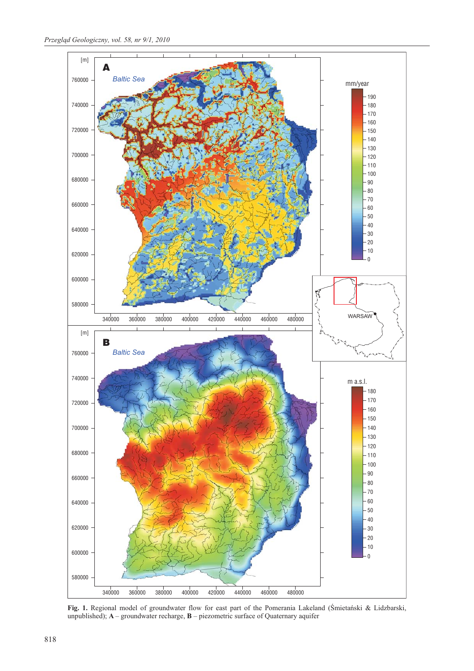

Fig. 1. Regional model of groundwater flow for east part of the Pomerania Lakeland (Śmietański & Lidzbarski, unpublished); **A** – groundwater recharge, **B** – piezometric surface of Quaternary aquifer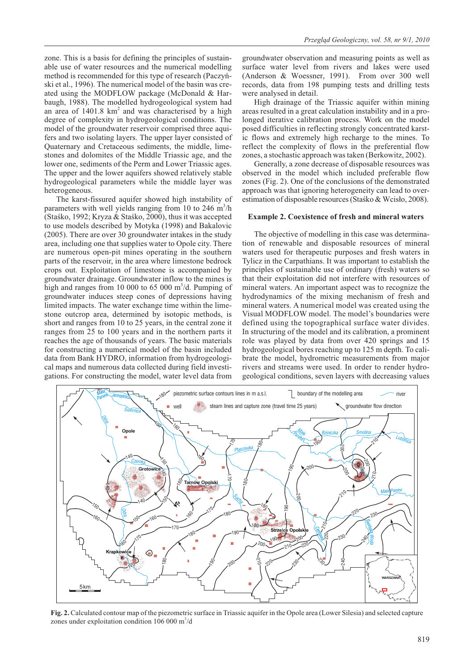zone. This is a basis for defining the principles of sustainable use of water resources and the numerical modelling method is recommended for this type of research (Paczyñski et al., 1996). The numerical model of the basin was created using the MODFLOW package (McDonald & Harbaugh, 1988). The modelled hydrogeological system had an area of 1401.8 km<sup>2</sup> and was characterised by a high degree of complexity in hydrogeological conditions. The model of the groundwater reservoir comprised three aquifers and two isolating layers. The upper layer consisted of Quaternary and Cretaceous sediments, the middle, limestones and dolomites of the Middle Triassic age, and the lower one, sediments of the Perm and Lower Triassic ages. The upper and the lower aquifers showed relatively stable hydrogeological parameters while the middle layer was heterogeneous.

The karst-fissured aquifer showed high instability of parameters with well yields ranging from 10 to 246  $\text{m}^3/\text{h}$ (Staśko, 1992; Kryza & Staśko, 2000), thus it was accepted to use models described by Motyka (1998) and Bakalovic (2005). There are over 30 groundwater intakes in the study area, including one that supplies water to Opole city. There are numerous open-pit mines operating in the southern parts of the reservoir, in the area where limestone bedrock crops out. Exploitation of limestone is accompanied by groundwater drainage. Groundwater inflow to the mines is high and ranges from 10 000 to 65 000  $\mathrm{m}^3/\mathrm{d}$ . Pumping of groundwater induces steep cones of depressions having limited impacts. The water exchange time within the limestone outcrop area, determined by isotopic methods, is short and ranges from 10 to 25 years, in the central zone it ranges from 25 to 100 years and in the northern parts it reaches the age of thousands of years. The basic materials for constructing a numerical model of the basin included data from Bank HYDRO, information from hydrogeological maps and numerous data collected during field investigations. For constructing the model, water level data from

groundwater observation and measuring points as well as surface water level from rivers and lakes were used (Anderson & Woessner, 1991). From over 300 well records, data from 198 pumping tests and drilling tests were analysed in detail.

High drainage of the Triassic aquifer within mining areas resulted in a great calculation instability and in a prolonged iterative calibration process. Work on the model posed difficulties in reflecting strongly concentrated karstic flows and extremely high recharge to the mines. To reflect the complexity of flows in the preferential flow zones, a stochastic approach was taken (Berkowitz, 2002).

Generally, a zone decrease of disposable resources was observed in the model which included preferable flow zones (Fig. 2). One of the conclusions of the demonstrated approach was that ignoring heterogeneity can lead to overestimation of disposable resources (Stasko & Wcisło, 2008).

### **Example 2. Coexistence of fresh and mineral waters**

The objective of modelling in this case was determination of renewable and disposable resources of mineral waters used for therapeutic purposes and fresh waters in Tylicz in the Carpathians. It was important to establish the principles of sustainable use of ordinary (fresh) waters so that their exploitation did not interfere with resources of mineral waters. An important aspect was to recognize the hydrodynamics of the mixing mechanism of fresh and mineral waters. A numerical model was created using the Visual MODFLOW model. The model's boundaries were defined using the topographical surface water divides. In structuring of the model and its calibration, a prominent role was played by data from over 420 springs and 15 hydrogeological bores reaching up to 125 m depth. To calibrate the model, hydrometric measurements from major rivers and streams were used. In order to render hydrogeological conditions, seven layers with decreasing values



**Fig. 2.** Calculated contour map of the piezometric surface in Triassic aquifer in the Opole area (Lower Silesia) and selected capture zones under exploitation condition  $106000 \text{ m}^3/\text{d}$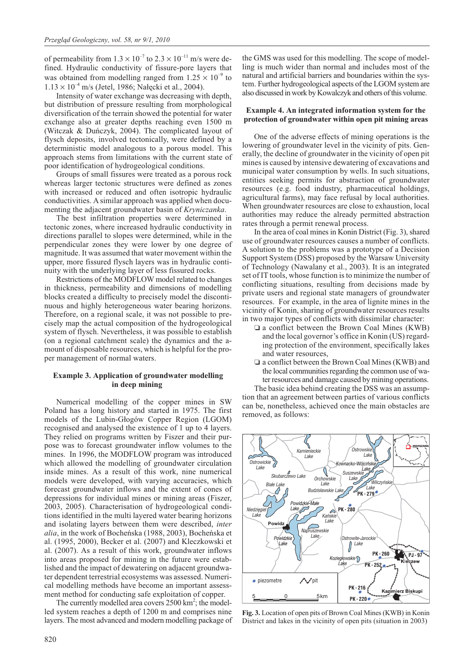of permeability from  $1.3 \times 10^{-7}$  to  $2.3 \times 10^{-11}$  m/s were defined. Hydraulic conductivity of fissure-pore layers that was obtained from modelling ranged from  $1.25 \times 10^{-9}$  to  $1.13 \times 10^{-4}$  m/s (Jetel, 1986; Nałęcki et al., 2004).

Intensity of water exchange was decreasing with depth, but distribution of pressure resulting from morphological diversification of the terrain showed the potential for water exchange also at greater depths reaching even 1500 m (Witczak & Duñczyk, 2004). The complicated layout of flysch deposits, involved tectonically, were defined by a deterministic model analogous to a porous model. This approach stems from limitations with the current state of poor identification of hydrogeological conditions.

Groups of small fissures were treated as a porous rock whereas larger tectonic structures were defined as zones with increased or reduced and often isotropic hydraulic conductivities. A similar approach was applied when documenting the adjacent groundwater basin of *Kryniczanka*.

The best infiltration properties were determined in tectonic zones, where increased hydraulic conductivity in directions parallel to slopes were determined, while in the perpendicular zones they were lower by one degree of magnitude. It was assumed that water movement within the upper, more fissured flysch layers was in hydraulic continuity with the underlying layer of less fissured rocks.

Restrictions of the MODFLOW model related to changes in thickness, permeability and dimensions of modelling blocks created a difficulty to precisely model the discontinuous and highly heterogeneous water bearing horizons. Therefore, on a regional scale, it was not possible to precisely map the actual composition of the hydrogeological system of flysch. Nevertheless, it was possible to establish (on a regional catchment scale) the dynamics and the amount of disposable resources, which is helpful for the proper management of normal waters.

# **Example 3. Application of groundwater modelling in deep mining**

Numerical modelling of the copper mines in SW Poland has a long history and started in 1975. The first models of the Lubin-Głogów Copper Region (LGOM) recognised and analysed the existence of 1 up to 4 layers. They relied on programs written by Fiszer and their purpose was to forecast groundwater inflow volumes to the mines. In 1996, the MODFLOW program was introduced which allowed the modelling of groundwater circulation inside mines. As a result of this work, nine numerical models were developed, with varying accuracies, which forecast groundwater inflows and the extent of cones of depressions for individual mines or mining areas (Fiszer, 2003, 2005). Characterisation of hydrogeological conditions identified in the multi layered water bearing horizons and isolating layers between them were described, *inter alia*, in the work of Bocheñska (1988, 2003), Bocheñska et al. (1995, 2000), Becker et al. (2007) and Kleczkowski et al. (2007). As a result of this work, groundwater inflows into areas proposed for mining in the future were established and the impact of dewatering on adjacent groundwater dependent terrestrial ecosystems was assessed. Numerical modelling methods have become an important assessment method for conducting safe exploitation of copper.

The currently modelled area covers  $2500 \text{ km}^2$ ; the modelled system reaches a depth of 1200 m and comprises nine layers. The most advanced and modern modelling package of the GMS was used for this modelling. The scope of modelling is much wider than normal and includes most of the natural and artificial barriers and boundaries within the system. Further hydrogeological aspects of the LGOM system are also discussed in work by Kowalczyk and others of this volume.

## **Example 4. An integrated information system for the protection of groundwater within open pit mining areas**

One of the adverse effects of mining operations is the lowering of groundwater level in the vicinity of pits. Generally, the decline of groundwater in the vicinity of open pit mines is caused by intensive dewatering of excavations and municipal water consumption by wells. In such situations, entities seeking permits for abstraction of groundwater resources (e.g. food industry, pharmaceutical holdings, agricultural farms), may face refusal by local authorities. When groundwater resources are close to exhaustion, local authorities may reduce the already permitted abstraction rates through a permit renewal process.

In the area of coal mines in Konin District (Fig. 3), shared use of groundwater resources causes a number of conflicts. A solution to the problems was a prototype of a Decision Support System (DSS) proposed by the Warsaw University of Technology (Nawalany et al., 2003). It is an integrated set of IT tools, whose function is to minimize the number of conflicting situations, resulting from decisions made by private users and regional state managers of groundwater resources. For example, in the area of lignite mines in the vicinity of Konin, sharing of groundwater resources results in two major types of conflicts with dissimilar character:

- $\square$  a conflict between the Brown Coal Mines (KWB) and the local governor's office in Konin (US) regarding protection of the environment, specifically lakes and water resources,
- a conflict between the Brown Coal Mines (KWB) and the local communities regarding the common use of water resources and damage caused by mining operations.

The basic idea behind creating the DSS was an assumption that an agreement between parties of various conflicts can be, nonetheless, achieved once the main obstacles are removed, as follows:



**Fig. 3.** Location of open pits of Brown Coal Mines (KWB) in Konin District and lakes in the vicinity of open pits (situation in 2003)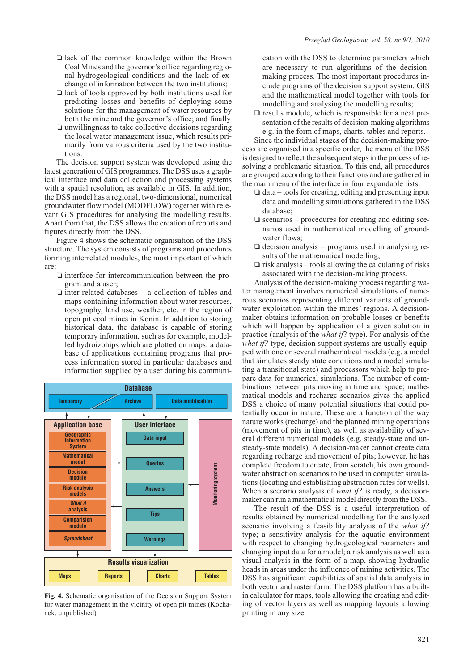- I lack of the common knowledge within the Brown Coal Mines and the governor's office regarding regional hydrogeological conditions and the lack of exchange of information between the two institutions;
- I lack of tools approved by both institutions used for predicting losses and benefits of deploying some solutions for the management of water resources by both the mine and the governor's office; and finally
- $\square$  unwillingness to take collective decisions regarding the local water management issue, which results primarily from various criteria used by the two institutions.

The decision support system was developed using the latest generation of GIS programmes. The DSS uses a graphical interface and data collection and processing systems with a spatial resolution, as available in GIS. In addition, the DSS model has a regional, two-dimensional, numerical groundwater flow model (MODFLOW) together with relevant GIS procedures for analysing the modelling results. Apart from that, the DSS allows the creation of reports and figures directly from the DSS.

Figure 4 shows the schematic organisation of the DSS structure. The system consists of programs and procedures forming interrelated modules, the most important of which are:

- interface for intercommunication between the program and a user;
- $\Box$  inter-related databases a collection of tables and maps containing information about water resources, topography, land use, weather, etc. in the region of open pit coal mines in Konin. In addition to storing historical data, the database is capable of storing temporary information, such as for example, modelled hydroizohips which are plotted on maps; a database of applications containing programs that process information stored in particular databases and information supplied by a user during his communi-



**Fig. 4.** Schematic organisation of the Decision Support System for water management in the vicinity of open pit mines (Kochanek, unpublished)

cation with the DSS to determine parameters which are necessary to run algorithms of the decisionmaking process. The most important procedures include programs of the decision support system, GIS and the mathematical model together with tools for modelling and analysing the modelling results;

 $\square$  results module, which is responsible for a neat presentation of the results of decision-making algorithms e.g. in the form of maps, charts, tables and reports.

Since the individual stages of the decision-making process are organised in a specific order, the menu of the DSS is designed to reflect the subsequent steps in the process of resolving a problematic situation. To this end, all procedures are grouped according to their functions and are gathered in the main menu of the interface in four expandable lists:

- data tools for creating, editing and presenting input data and modelling simulations gathered in the DSS database;
- scenarios procedures for creating and editing scenarios used in mathematical modelling of groundwater flows;
- decision analysis programs used in analysing results of the mathematical modelling;
- risk analysis tools allowing the calculating of risks associated with the decision-making process.

Analysis of the decision-making process regarding water management involves numerical simulations of numerous scenarios representing different variants of groundwater exploitation within the mines' regions. A decisionmaker obtains information on probable losses or benefits which will happen by application of a given solution in practice (analysis of the *what if*? type). For analysis of the *what if?* type, decision support systems are usually equipped with one or several mathematical models (e.g. a model that simulates steady state conditions and a model simulating a transitional state) and processors which help to prepare data for numerical simulations. The number of combinations between pits moving in time and space; mathematical models and recharge scenarios gives the applied DSS a choice of many potential situations that could potentially occur in nature. These are a function of the way nature works (recharge) and the planned mining operations (movement of pits in time), as well as availability of several different numerical models (e.g. steady-state and unsteady-state models). A decision-maker cannot create data regarding recharge and movement of pits; however, he has complete freedom to create, from scratch, his own groundwater abstraction scenarios to be used in computer simulations (locating and establishing abstraction rates for wells). When a scenario analysis of *what if*? is ready, a decisionmaker can run a mathematical model directly from the DSS.

The result of the DSS is a useful interpretation of results obtained by numerical modelling for the analyzed scenario involving a feasibility analysis of the *what if?* type; a sensitivity analysis for the aquatic environment with respect to changing hydrogeological parameters and changing input data for a model; a risk analysis as well as a visual analysis in the form of a map, showing hydraulic heads in areas under the influence of mining activities. The DSS has significant capabilities of spatial data analysis in both vector and raster form. The DSS platform has a builtin calculator for maps, tools allowing the creating and editing of vector layers as well as mapping layouts allowing printing in any size.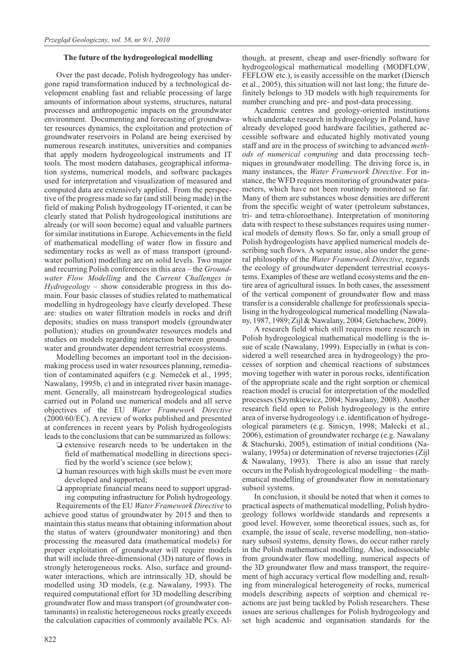### **The future of the hydrogeological modelling**

Over the past decade, Polish hydrogeology has undergone rapid transformation induced by a technological development enabling fast and reliable processing of large amounts of information about systems, structures, natural processes and anthropogenic impacts on the groundwater environment. Documenting and forecasting of groundwater resources dynamics, the exploitation and protection of groundwater reservoirs in Poland are being exercised by numerous research institutes, universities and companies that apply modern hydrogeological instruments and IT tools. The most modern databases, geographical information systems, numerical models, and software packages used for interpretation and visualization of measured and computed data are extensively applied. From the perspective of the progress made so far (and still being made) in the field of making Polish hydrogeology IT-oriented, it can be clearly stated that Polish hydrogeological institutions are already (or will soon become) equal and valuable partners for similar institutions in Europe. Achievements in the field of mathematical modelling of water flow in fissure and sedimentary rocks as well as of mass transport (groundwater pollution) modelling are on solid levels. Two major and recurring Polish conferences in this area – the *Groundwater Flow Modelling* and the *Current Challenges in Hydrogeology* – show considerable progress in this domain. Four basic classes of studies related to mathematical modelling in hydrogeology have clearly developed. These are: studies on water filtration models in rocks and drift deposits; studies on mass transport models (groundwater pollution); studies on groundwater resources models and studies on models regarding interaction between groundwater and groundwater dependent terrestrial ecosystems.

Modelling becomes an important tool in the decisionmaking process used in water resources planning, remediation of contaminated aquifers (e.g. Nemeèek et al., 1995; Nawalany, 1995b, c) and in integrated river basin management. Generally, all mainstream hydrogeological studies carried out in Poland use numerical models and all serve objectives of the EU *Water Framework Directive* (2000/60/EC). A review of works published and presented at conferences in recent years by Polish hydrogeologists leads to the conclusions that can be summarized as follows:

- extensive research needs to be undertaken in the field of mathematical modelling in directions specified by the world's science (see below);
- human resources with high skills must be even more developed and supported;
- appropriate financial means need to support upgrading computing infrastructure for Polish hydrogeology.

Requirements of the EU *Water Framework Directive* to achieve good status of groundwater by 2015 and then to maintain this status means that obtaining information about the status of waters (groundwater monitoring) and then processing the measured data (mathematical models) for proper exploitation of groundwater will require models that will include three-dimensional (3D) nature of flows in strongly heterogeneous rocks. Also, surface and groundwater interactions, which are intrinsically 3D, should be modelled using 3D models, (e.g. Nawalany, 1993). The required computational effort for 3D modelling describing groundwater flow and mass transport (of groundwater contaminants) in realistic heterogeneous rocks greatly exceeds the calculation capacities of commonly available PCs. Although, at present, cheap and user-friendly software for hydrogeological mathematical modelling (MODFLOW, FEFLOW etc.), is easily accessible on the market (Diersch et al., 2005), this situation will not last long; the future definitely belongs to 3D models with high requirements for number crunching and pre- and post-data processing.

Academic centres and geology-oriented institutions which undertake research in hydrogeology in Poland, have already developed good hardware facilities, gathered accessible software and educated highly motivated young staff and are in the process of switching to advanced *methods of numerical computing* and data processing techniques in groundwater modelling. The driving force is, in many instances, the *Water Framework Directive*. For instance, the WFD requires monitoring of groundwater parameters, which have not been routinely monitored so far. Many of them are substances whose densities are different from the specific weight of water (petroleum substances, tri- and tetra-chloroethane). Interpretation of monitoring data with respect to these substances requires using numerical models of density flows. So far, only a small group of Polish hydrogeologists have applied numerical models describing such flows. A separate issue, also under the general philosophy of the *Water Framework Directive*, regards the ecology of groundwater dependent terrestrial ecosystems. Examples of these are wetland ecosystems and the entire area of agricultural issues. In both cases, the assessment of the vertical component of groundwater flow and mass transfer is a considerable challenge for professionals specialising in the hydrogeological numerical modelling (Nawalany, 1987, 1989; Zijl & Nawalany, 2004; Getchachew, 2009).

A research field which still requires more research in Polish hydrogeological mathematical modelling is the issue of scale (Nawalany, 1999). Especially in (what is considered a well researched area in hydrogeology) the processes of sorption and chemical reactions of substances moving together with water in porous rocks, identification of the appropriate scale and the right sorption or chemical reaction model is crucial for interpretation of the modelled processes (Szymkiewicz, 2004; Nawalany, 2008). Another research field open to Polish hydrogeology is the entire area of inverse hydrogeology i.e. identification of hydrogeological parameters (e.g. Sinicyn, 1998; Małecki et al., 2006), estimation of groundwater recharge (e.g. Nawalany & Stachurski, 2005), estimation of initial conditions (Nawalany, 1995a) or determination of reverse trajectories (Zijl & Nawalany, 1993). There is also an issue that rarely occurs in the Polish hydrogeological modelling – the mathematical modelling of groundwater flow in nonstationary subsoil systems.

In conclusion, it should be noted that when it comes to practical aspects of mathematical modelling, Polish hydrogeology follows worldwide standards and represents a good level. However, some theoretical issues, such as, for example, the issue of scale, reverse modelling, non-stationary subsoil systems, density flows, do occur rather rarely in the Polish mathematical modelling. Also, indissociable from groundwater flow modelling, numerical aspects of the 3D groundwater flow and mass transport, the requirement of high accuracy vertical flow modelling and, resulting from mineralogical heterogeneity of rocks, numerical models describing aspects of sorption and chemical reactions are just being tackled by Polish researchers. These issues are serious challenges for Polish hydrogeology and set high academic and organisation standards for the